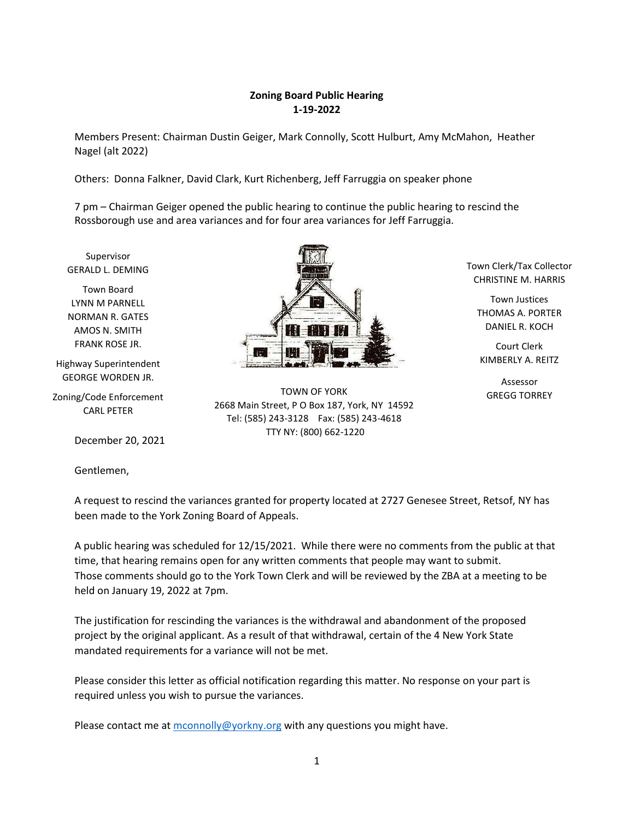### **Zoning Board Public Hearing 1-19-2022**

Members Present: Chairman Dustin Geiger, Mark Connolly, Scott Hulburt, Amy McMahon, Heather Nagel (alt 2022)

Others: Donna Falkner, David Clark, Kurt Richenberg, Jeff Farruggia on speaker phone

7 pm – Chairman Geiger opened the public hearing to continue the public hearing to rescind the Rossborough use and area variances and for four area variances for Jeff Farruggia.

Supervisor GERALD L. DEMING

Town Board LYNN M PARNELL NORMAN R. GATES AMOS N. SMITH FRANK ROSE JR.

Highway Superintendent GEORGE WORDEN JR.

Zoning/Code Enforcement CARL PETER

December 20, 2021

Gentlemen,



TOWN OF YORK 2668 Main Street, P O Box 187, York, NY 14592 Tel: (585) 243-3128 Fax: (585) 243-4618 TTY NY: (800) 662-1220

Town Clerk/Tax Collector CHRISTINE M. HARRIS

Town Justices THOMAS A. PORTER DANIEL R. KOCH

Court Clerk KIMBERLY A. REITZ

Assessor GREGG TORREY

A request to rescind the variances granted for property located at 2727 Genesee Street, Retsof, NY has been made to the York Zoning Board of Appeals.

A public hearing was scheduled for 12/15/2021. While there were no comments from the public at that time, that hearing remains open for any written comments that people may want to submit. Those comments should go to the York Town Clerk and will be reviewed by the ZBA at a meeting to be held on January 19, 2022 at 7pm.

The justification for rescinding the variances is the withdrawal and abandonment of the proposed project by the original applicant. As a result of that withdrawal, certain of the 4 New York State mandated requirements for a variance will not be met.

Please consider this letter as official notification regarding this matter. No response on your part is required unless you wish to pursue the variances.

Please contact me at  $\frac{1}{2}$  [mconnolly@yorkny.org](mailto:mconnolly@yorkny.org) with any questions you might have.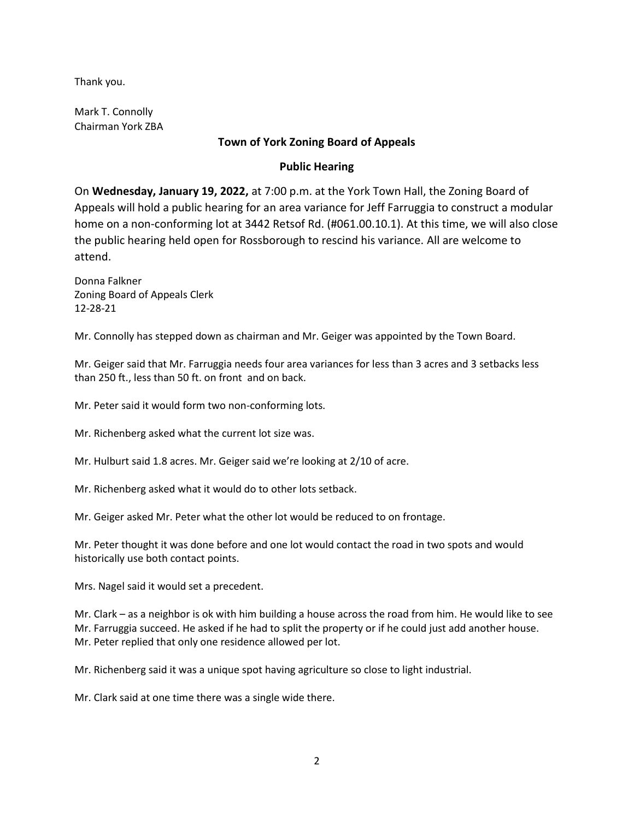Thank you.

Mark T. Connolly Chairman York ZBA

## **Town of York Zoning Board of Appeals**

# **Public Hearing**

On **Wednesday, January 19, 2022,** at 7:00 p.m. at the York Town Hall, the Zoning Board of Appeals will hold a public hearing for an area variance for Jeff Farruggia to construct a modular home on a non-conforming lot at 3442 Retsof Rd. (#061.00.10.1). At this time, we will also close the public hearing held open for Rossborough to rescind his variance. All are welcome to attend.

Donna Falkner Zoning Board of Appeals Clerk 12-28-21

Mr. Connolly has stepped down as chairman and Mr. Geiger was appointed by the Town Board.

Mr. Geiger said that Mr. Farruggia needs four area variances for less than 3 acres and 3 setbacks less than 250 ft., less than 50 ft. on front and on back.

Mr. Peter said it would form two non-conforming lots.

Mr. Richenberg asked what the current lot size was.

Mr. Hulburt said 1.8 acres. Mr. Geiger said we're looking at 2/10 of acre.

Mr. Richenberg asked what it would do to other lots setback.

Mr. Geiger asked Mr. Peter what the other lot would be reduced to on frontage.

Mr. Peter thought it was done before and one lot would contact the road in two spots and would historically use both contact points.

Mrs. Nagel said it would set a precedent.

Mr. Clark – as a neighbor is ok with him building a house across the road from him. He would like to see Mr. Farruggia succeed. He asked if he had to split the property or if he could just add another house. Mr. Peter replied that only one residence allowed per lot.

Mr. Richenberg said it was a unique spot having agriculture so close to light industrial.

Mr. Clark said at one time there was a single wide there.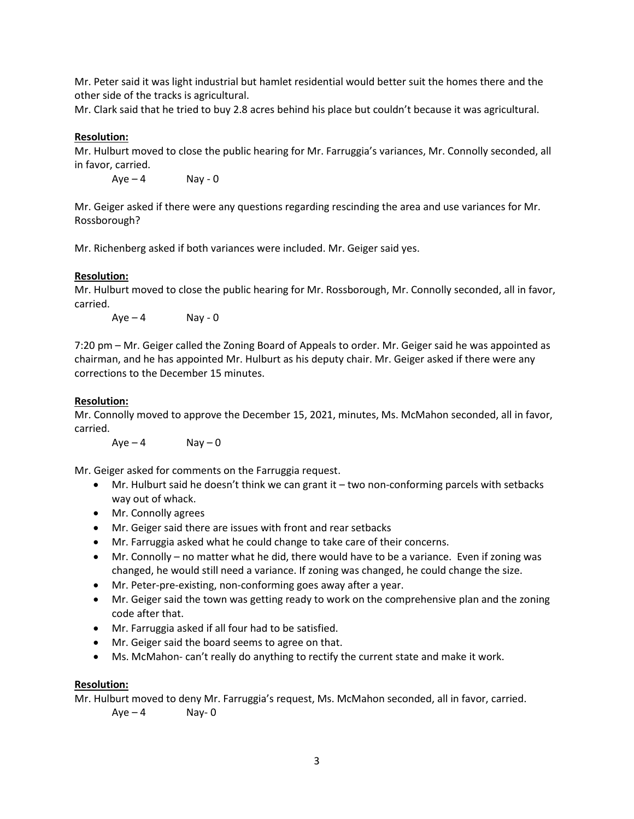Mr. Peter said it was light industrial but hamlet residential would better suit the homes there and the other side of the tracks is agricultural.

Mr. Clark said that he tried to buy 2.8 acres behind his place but couldn't because it was agricultural.

### **Resolution:**

Mr. Hulburt moved to close the public hearing for Mr. Farruggia's variances, Mr. Connolly seconded, all in favor, carried.

 $Aye - 4$  Nay - 0

Mr. Geiger asked if there were any questions regarding rescinding the area and use variances for Mr. Rossborough?

Mr. Richenberg asked if both variances were included. Mr. Geiger said yes.

### **Resolution:**

Mr. Hulburt moved to close the public hearing for Mr. Rossborough, Mr. Connolly seconded, all in favor, carried.

 $Ave - 4$  Nay - 0

7:20 pm – Mr. Geiger called the Zoning Board of Appeals to order. Mr. Geiger said he was appointed as chairman, and he has appointed Mr. Hulburt as his deputy chair. Mr. Geiger asked if there were any corrections to the December 15 minutes.

### **Resolution:**

Mr. Connolly moved to approve the December 15, 2021, minutes, Ms. McMahon seconded, all in favor, carried.

 $Aye - 4$  Nay  $-0$ 

Mr. Geiger asked for comments on the Farruggia request.

- Mr. Hulburt said he doesn't think we can grant it  $-$  two non-conforming parcels with setbacks way out of whack.
- Mr. Connolly agrees
- Mr. Geiger said there are issues with front and rear setbacks
- Mr. Farruggia asked what he could change to take care of their concerns.
- Mr. Connolly no matter what he did, there would have to be a variance. Even if zoning was changed, he would still need a variance. If zoning was changed, he could change the size.
- Mr. Peter-pre-existing, non-conforming goes away after a year.
- Mr. Geiger said the town was getting ready to work on the comprehensive plan and the zoning code after that.
- Mr. Farruggia asked if all four had to be satisfied.
- Mr. Geiger said the board seems to agree on that.
- Ms. McMahon- can't really do anything to rectify the current state and make it work.

### **Resolution:**

Mr. Hulburt moved to deny Mr. Farruggia's request, Ms. McMahon seconded, all in favor, carried.

 $Ave - 4$  Nay-0